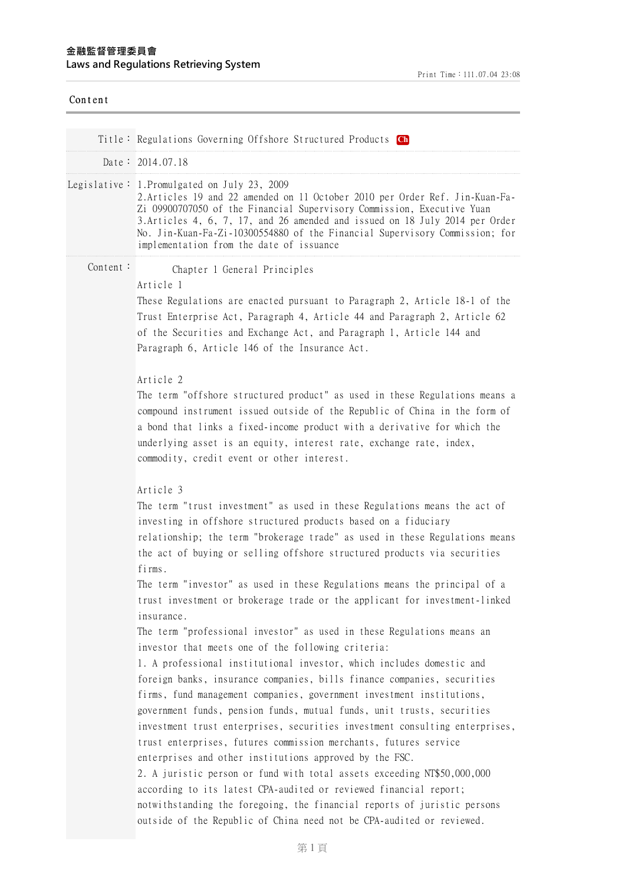| Content  |                                                                                                                                                                                                                                                                                                                                                                                                                                                                                                                                                                                                                                                                                                                                                                                                   |
|----------|---------------------------------------------------------------------------------------------------------------------------------------------------------------------------------------------------------------------------------------------------------------------------------------------------------------------------------------------------------------------------------------------------------------------------------------------------------------------------------------------------------------------------------------------------------------------------------------------------------------------------------------------------------------------------------------------------------------------------------------------------------------------------------------------------|
|          | Title: Regulations Governing Offshore Structured Products Ch                                                                                                                                                                                                                                                                                                                                                                                                                                                                                                                                                                                                                                                                                                                                      |
|          | Date: $2014.07.18$                                                                                                                                                                                                                                                                                                                                                                                                                                                                                                                                                                                                                                                                                                                                                                                |
|          | Legislative: 1. Promulgated on July 23, 2009<br>2. Articles 19 and 22 amended on 11 October 2010 per Order Ref. Jin-Kuan-Fa-<br>Zi 09900707050 of the Financial Supervisory Commission, Executive Yuan<br>3. Articles 4, 6, 7, 17, and 26 amended and issued on 18 July 2014 per Order<br>No. Jin-Kuan-Fa-Zi-10300554880 of the Financial Supervisory Commission; for<br>implementation from the date of issuance                                                                                                                                                                                                                                                                                                                                                                                 |
| Content: | Chapter 1 General Principles<br>Article 1<br>These Regulations are enacted pursuant to Paragraph 2, Article 18-1 of the<br>Trust Enterprise Act, Paragraph 4, Article 44 and Paragraph 2, Article 62<br>of the Securities and Exchange Act, and Paragraph 1, Article 144 and<br>Paragraph 6, Article 146 of the Insurance Act.<br>Article 2                                                                                                                                                                                                                                                                                                                                                                                                                                                       |
|          | The term "offshore structured product" as used in these Regulations means a<br>compound instrument issued outside of the Republic of China in the form of<br>a bond that links a fixed-income product with a derivative for which the<br>underlying asset is an equity, interest rate, exchange rate, index,<br>commodity, credit event or other interest.                                                                                                                                                                                                                                                                                                                                                                                                                                        |
|          | Article 3<br>The term "trust investment" as used in these Regulations means the act of<br>investing in offshore structured products based on a fiduciary<br>relationship; the term "brokerage trade" as used in these Regulations means<br>the act of buying or selling offshore structured products via securities<br>firms.                                                                                                                                                                                                                                                                                                                                                                                                                                                                     |
|          | The term "investor" as used in these Regulations means the principal of a<br>trust investment or brokerage trade or the applicant for investment-linked<br>insurance.                                                                                                                                                                                                                                                                                                                                                                                                                                                                                                                                                                                                                             |
|          | The term "professional investor" as used in these Regulations means an<br>investor that meets one of the following criteria:<br>1. A professional institutional investor, which includes domestic and<br>foreign banks, insurance companies, bills finance companies, securities<br>firms, fund management companies, government investment institutions,<br>government funds, pension funds, mutual funds, unit trusts, securities<br>investment trust enterprises, securities investment consulting enterprises,<br>trust enterprises, futures commission merchants, futures service<br>enterprises and other institutions approved by the FSC.<br>2. A juristic person or fund with total assets exceeding NT\$50,000,000<br>according to its latest CPA-audited or reviewed financial report; |
|          | notwithstanding the foregoing, the financial reports of juristic persons<br>outside of the Republic of China need not be CPA-audited or reviewed.                                                                                                                                                                                                                                                                                                                                                                                                                                                                                                                                                                                                                                                 |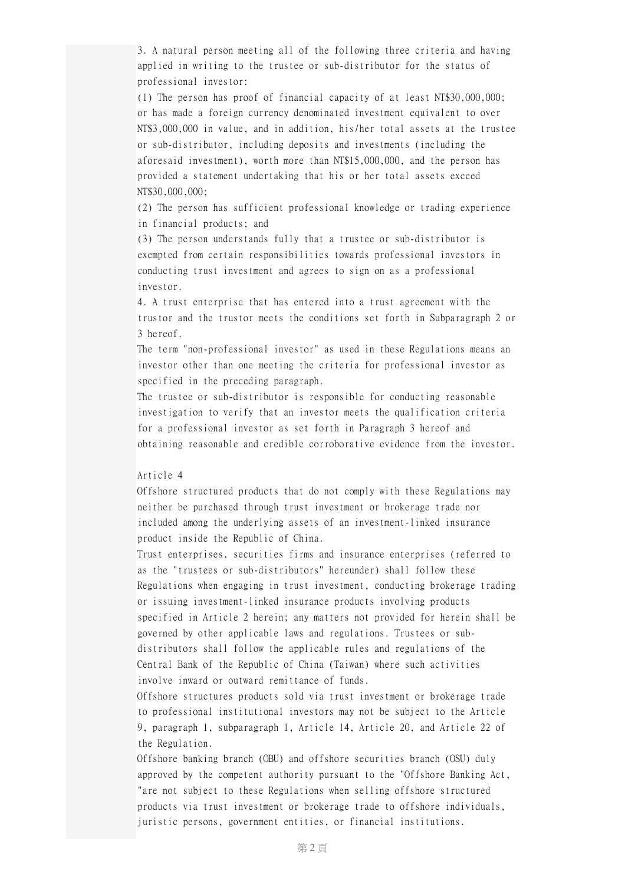3. A natural person meeting all of the following three criteria and having applied in writing to the trustee or sub-distributor for the status of professional investor:

(1) The person has proof of financial capacity of at least NT\$30,000,000; or has made a foreign currency denominated investment equivalent to over NT\$3,000,000 in value, and in addition, his/her total assets at the trustee or sub-distributor, including deposits and investments (including the aforesaid investment), worth more than NT\$15,000,000, and the person has provided a statement undertaking that his or her total assets exceed NT\$30,000,000;

(2) The person has sufficient professional knowledge or trading experience in financial products; and

(3) The person understands fully that a trustee or sub-distributor is exempted from certain responsibilities towards professional investors in conducting trust investment and agrees to sign on as a professional investor.

4. A trust enterprise that has entered into a trust agreement with the trustor and the trustor meets the conditions set forth in Subparagraph 2 or 3 hereof.

The term "non-professional investor" as used in these Regulations means an investor other than one meeting the criteria for professional investor as specified in the preceding paragraph.

The trustee or sub-distributor is responsible for conducting reasonable investigation to verify that an investor meets the qualification criteria for a professional investor as set forth in Paragraph 3 hereof and obtaining reasonable and credible corroborative evidence from the investor.

#### Article 4

Offshore structured products that do not comply with these Regulations may neither be purchased through trust investment or brokerage trade nor included among the underlying assets of an investment-linked insurance product inside the Republic of China.

Trust enterprises, securities firms and insurance enterprises (referred to as the "trustees or sub-distributors" hereunder) shall follow these Regulations when engaging in trust investment, conducting brokerage trading or issuing investment-linked insurance products involving products specified in Article 2 herein; any matters not provided for herein shall be governed by other applicable laws and regulations. Trustees or subdistributors shall follow the applicable rules and regulations of the Central Bank of the Republic of China (Taiwan) where such activities involve inward or outward remittance of funds.

Offshore structures products sold via trust investment or brokerage trade to professional institutional investors may not be subject to the Article 9, paragraph 1, subparagraph 1, Article 14, Article 20, and Article 22 of the Regulation.

Offshore banking branch (OBU) and offshore securities branch (OSU) duly approved by the competent authority pursuant to the "Offshore Banking Act, "are not subject to these Regulations when selling offshore structured products via trust investment or brokerage trade to offshore individuals, juristic persons, government entities, or financial institutions.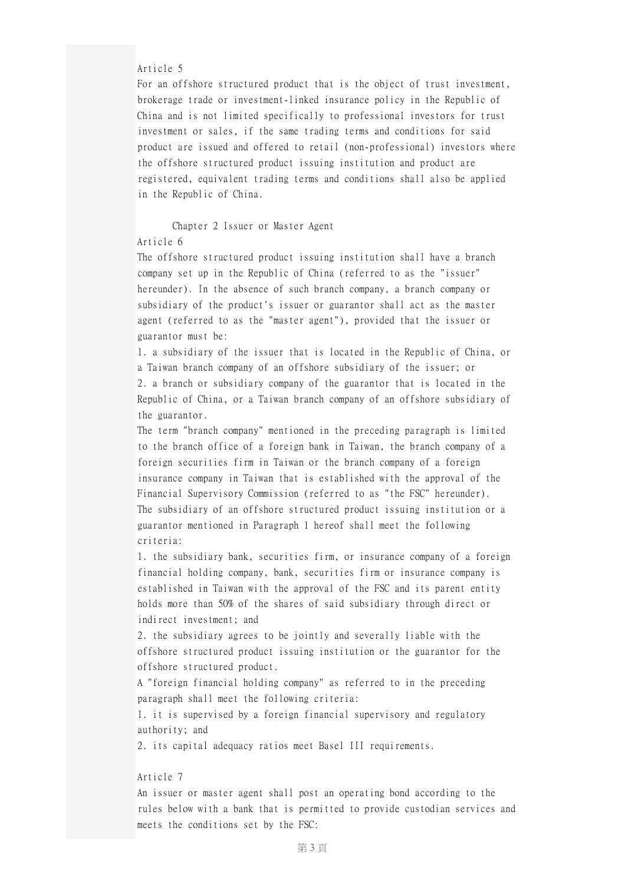## Article 5

For an offshore structured product that is the object of trust investment, brokerage trade or investment-linked insurance policy in the Republic of China and is not limited specifically to professional investors for trust investment or sales, if the same trading terms and conditions for said product are issued and offered to retail (non-professional) investors where the offshore structured product issuing institution and product are registered, equivalent trading terms and conditions shall also be applied in the Republic of China.

### Chapter 2 Issuer or Master Agent

# Article 6

The offshore structured product issuing institution shall have a branch company set up in the Republic of China (referred to as the "issuer" hereunder). In the absence of such branch company, a branch company or subsidiary of the product's issuer or guarantor shall act as the master agent (referred to as the "master agent"), provided that the issuer or guarantor must be:

1. a subsidiary of the issuer that is located in the Republic of China, or a Taiwan branch company of an offshore subsidiary of the issuer; or 2. a branch or subsidiary company of the guarantor that is located in the Republic of China, or a Taiwan branch company of an offshore subsidiary of the guarantor.

The term "branch company" mentioned in the preceding paragraph is limited to the branch office of a foreign bank in Taiwan, the branch company of a foreign securities firm in Taiwan or the branch company of a foreign insurance company in Taiwan that is established with the approval of the Financial Supervisory Commission (referred to as "the FSC" hereunder). The subsidiary of an offshore structured product issuing institution or a guarantor mentioned in Paragraph 1 hereof shall meet the following criteria:

1. the subsidiary bank, securities firm, or insurance company of a foreign financial holding company, bank, securities firm or insurance company is established in Taiwan with the approval of the FSC and its parent entity holds more than 50% of the shares of said subsidiary through direct or indirect investment; and

2. the subsidiary agrees to be jointly and severally liable with the offshore structured product issuing institution or the guarantor for the offshore structured product.

A "foreign financial holding company" as referred to in the preceding paragraph shall meet the following criteria:

1. it is supervised by a foreign financial supervisory and regulatory authority; and

2. its capital adequacy ratios meet Basel III requirements.

#### Article 7

An issuer or master agent shall post an operating bond according to the rules below with a bank that is permitted to provide custodian services and meets the conditions set by the FSC: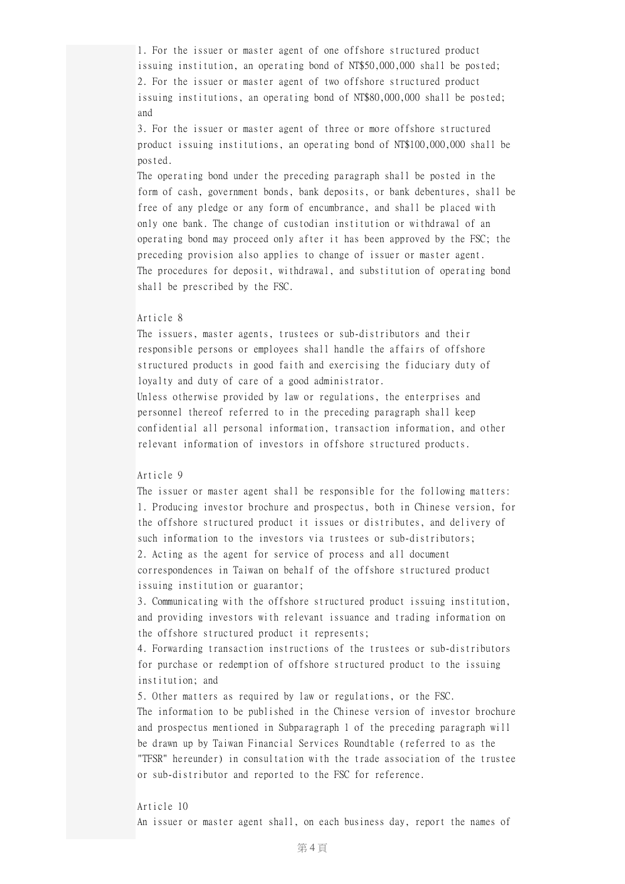1. For the issuer or master agent of one offshore structured product issuing institution, an operating bond of NT\$50,000,000 shall be posted; 2. For the issuer or master agent of two offshore structured product issuing institutions, an operating bond of NT\$80,000,000 shall be posted; and

3. For the issuer or master agent of three or more offshore structured product issuing institutions, an operating bond of NT\$100,000,000 shall be posted.

The operating bond under the preceding paragraph shall be posted in the form of cash, government bonds, bank deposits, or bank debentures, shall be free of any pledge or any form of encumbrance, and shall be placed with only one bank. The change of custodian institution or withdrawal of an operating bond may proceed only after it has been approved by the FSC; the preceding provision also applies to change of issuer or master agent. The procedures for deposit, withdrawal, and substitution of operating bond shall be prescribed by the FSC.

## Article 8

The issuers, master agents, trustees or sub-distributors and their responsible persons or employees shall handle the affairs of offshore structured products in good faith and exercising the fiduciary duty of loyalty and duty of care of a good administrator.

Unless otherwise provided by law or regulations, the enterprises and personnel thereof referred to in the preceding paragraph shall keep confidential all personal information, transaction information, and other relevant information of investors in offshore structured products.

## Article 9

The issuer or master agent shall be responsible for the following matters: 1. Producing investor brochure and prospectus, both in Chinese version, for the offshore structured product it issues or distributes, and delivery of such information to the investors via trustees or sub-distributors; 2. Acting as the agent for service of process and all document correspondences in Taiwan on behalf of the offshore structured product issuing institution or guarantor;

3. Communicating with the offshore structured product issuing institution, and providing investors with relevant issuance and trading information on the offshore structured product it represents;

4. Forwarding transaction instructions of the trustees or sub-distributors for purchase or redemption of offshore structured product to the issuing institution; and

5. Other matters as required by law or regulations, or the FSC. The information to be published in the Chinese version of investor brochure and prospectus mentioned in Subparagraph 1 of the preceding paragraph will be drawn up by Taiwan Financial Services Roundtable (referred to as the "TFSR" hereunder) in consultation with the trade association of the trustee or sub-distributor and reported to the FSC for reference.

#### Article 10

An issuer or master agent shall, on each business day, report the names of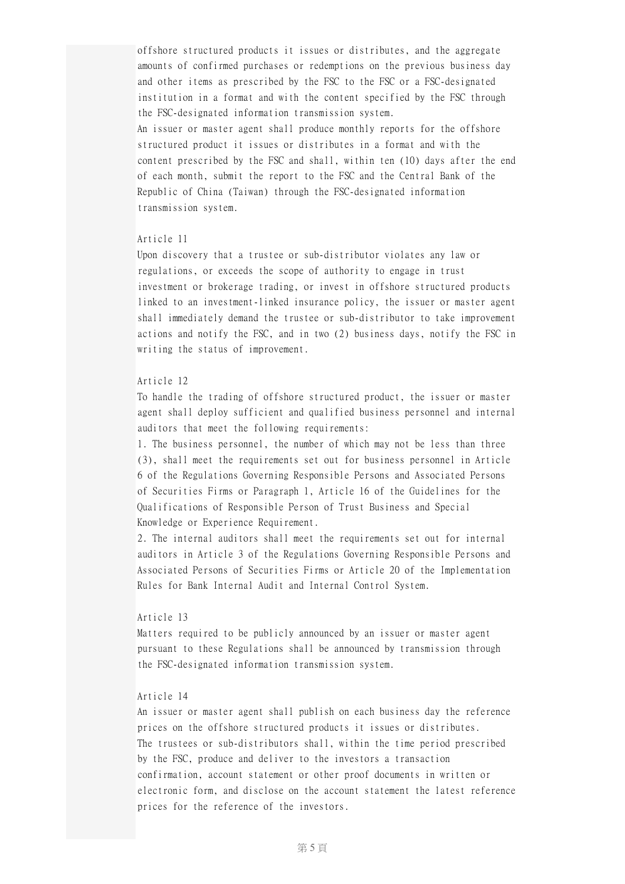offshore structured products it issues or distributes, and the aggregate amounts of confirmed purchases or redemptions on the previous business day and other items as prescribed by the FSC to the FSC or a FSC-designated institution in a format and with the content specified by the FSC through the FSC-designated information transmission system. An issuer or master agent shall produce monthly reports for the offshore structured product it issues or distributes in a format and with the content prescribed by the FSC and shall, within ten (10) days after the end of each month, submit the report to the FSC and the Central Bank of the Republic of China (Taiwan) through the FSC-designated information transmission system.

## Article 11

Upon discovery that a trustee or sub-distributor violates any law or regulations, or exceeds the scope of authority to engage in trust investment or brokerage trading, or invest in offshore structured products linked to an investment-linked insurance policy, the issuer or master agent shall immediately demand the trustee or sub-distributor to take improvement actions and notify the FSC, and in two (2) business days, notify the FSC in writing the status of improvement.

### Article 12

To handle the trading of offshore structured product, the issuer or master agent shall deploy sufficient and qualified business personnel and internal auditors that meet the following requirements:

1. The business personnel, the number of which may not be less than three (3), shall meet the requirements set out for business personnel in Article 6 of the Regulations Governing Responsible Persons and Associated Persons of Securities Firms or Paragraph 1, Article 16 of the Guidelines for the Qualifications of Responsible Person of Trust Business and Special Knowledge or Experience Requirement.

2. The internal auditors shall meet the requirements set out for internal auditors in Article 3 of the Regulations Governing Responsible Persons and Associated Persons of Securities Firms or Article 20 of the Implementation Rules for Bank Internal Audit and Internal Control System.

### Article 13

Matters required to be publicly announced by an issuer or master agent pursuant to these Regulations shall be announced by transmission through the FSC-designated information transmission system.

## Article 14

An issuer or master agent shall publish on each business day the reference prices on the offshore structured products it issues or distributes. The trustees or sub-distributors shall, within the time period prescribed by the FSC, produce and deliver to the investors a transaction confirmation, account statement or other proof documents in written or electronic form, and disclose on the account statement the latest reference prices for the reference of the investors.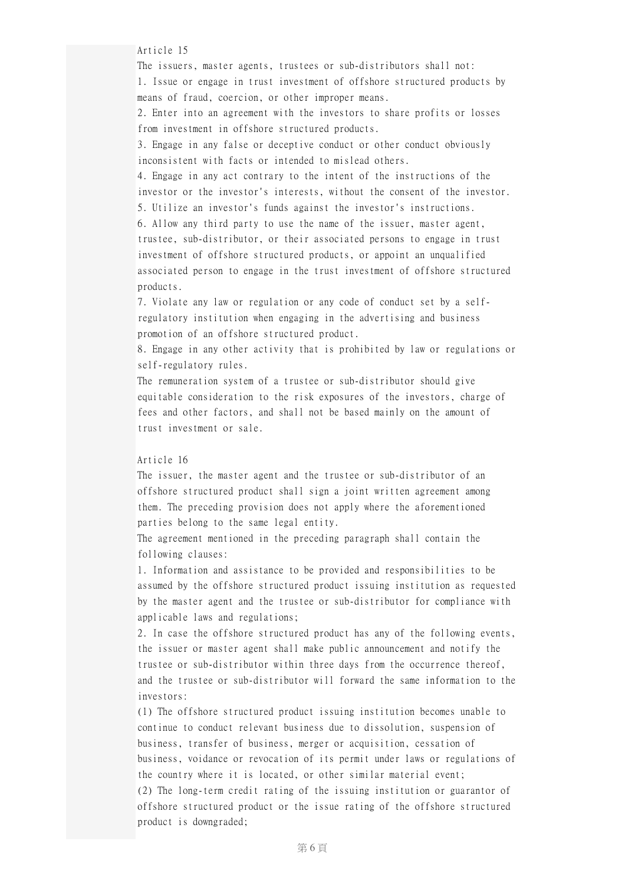Article 15

The issuers, master agents, trustees or sub-distributors shall not: 1. Issue or engage in trust investment of offshore structured products by means of fraud, coercion, or other improper means.

2. Enter into an agreement with the investors to share profits or losses from investment in offshore structured products.

3. Engage in any false or deceptive conduct or other conduct obviously inconsistent with facts or intended to mislead others.

4. Engage in any act contrary to the intent of the instructions of the investor or the investor's interests, without the consent of the investor. 5. Utilize an investor's funds against the investor's instructions.

6. Allow any third party to use the name of the issuer, master agent, trustee, sub-distributor, or their associated persons to engage in trust investment of offshore structured products, or appoint an unqualified associated person to engage in the trust investment of offshore structured products.

7. Violate any law or regulation or any code of conduct set by a selfregulatory institution when engaging in the advertising and business promotion of an offshore structured product.

8. Engage in any other activity that is prohibited by law or regulations or self-regulatory rules.

The remuneration system of a trustee or sub-distributor should give equitable consideration to the risk exposures of the investors, charge of fees and other factors, and shall not be based mainly on the amount of trust investment or sale.

## Article 16

The issuer, the master agent and the trustee or sub-distributor of an offshore structured product shall sign a joint written agreement among them. The preceding provision does not apply where the aforementioned parties belong to the same legal entity.

The agreement mentioned in the preceding paragraph shall contain the following clauses:

1. Information and assistance to be provided and responsibilities to be assumed by the offshore structured product issuing institution as requested by the master agent and the trustee or sub-distributor for compliance with applicable laws and regulations;

2. In case the offshore structured product has any of the following events, the issuer or master agent shall make public announcement and notify the trustee or sub-distributor within three days from the occurrence thereof, and the trustee or sub-distributor will forward the same information to the investors:

(1) The offshore structured product issuing institution becomes unable to continue to conduct relevant business due to dissolution, suspension of business, transfer of business, merger or acquisition, cessation of business, voidance or revocation of its permit under laws or regulations of the country where it is located, or other similar material event; (2) The long-term credit rating of the issuing institution or guarantor of offshore structured product or the issue rating of the offshore structured product is downgraded;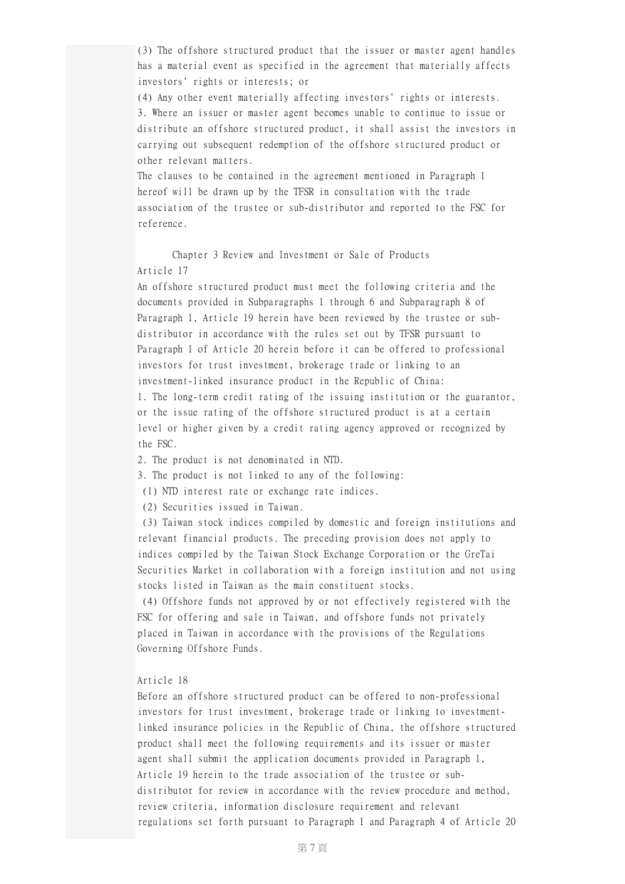(3) The offshore structured product that the issuer or master agent handles has a material event as specified in the agreement that materially affects investors' rights or interests; or

(4) Any other event materially affecting investors' rights or interests. 3. Where an issuer or master agent becomes unable to continue to issue or distribute an offshore structured product, it shall assist the investors in carrying out subsequent redemption of the offshore structured product or other relevant matters.

The clauses to be contained in the agreement mentioned in Paragraph 1 hereof will be drawn up by the TFSR in consultation with the trade association of the trustee or sub-distributor and reported to the FSC for reference.

Chapter 3 Review and Investment or Sale of Products Article 17

An offshore structured product must meet the following criteria and the documents provided in Subparagraphs 1 through 6 and Subparagraph 8 of Paragraph 1, Article 19 herein have been reviewed by the trustee or subdistributor in accordance with the rules set out by TFSR pursuant to Paragraph 1 of Article 20 herein before it can be offered to professional investors for trust investment, brokerage trade or linking to an investment-linked insurance product in the Republic of China: 1. The long-term credit rating of the issuing institution or the guarantor, or the issue rating of the offshore structured product is at a certain level or higher given by a credit rating agency approved or recognized by the FSC.

2. The product is not denominated in NTD.

3. The product is not linked to any of the following:

(1) NTD interest rate or exchange rate indices.

(2) Securities issued in Taiwan.

(3) Taiwan stock indices compiled by domestic and foreign institutions and relevant financial products. The preceding provision does not apply to indices compiled by the Taiwan Stock Exchange Corporation or the GreTai Securities Market in collaboration with a foreign institution and not using stocks listed in Taiwan as the main constituent stocks.

(4) Offshore funds not approved by or not effectively registered with the FSC for offering and sale in Taiwan, and offshore funds not privately placed in Taiwan in accordance with the provisions of the Regulations Governing Offshore Funds.

### Article 18

Before an offshore structured product can be offered to non-professional investors for trust investment, brokerage trade or linking to investmentlinked insurance policies in the Republic of China, the offshore structured product shall meet the following requirements and its issuer or master agent shall submit the application documents provided in Paragraph 1, Article 19 herein to the trade association of the trustee or subdistributor for review in accordance with the review procedure and method, review criteria, information disclosure requirement and relevant regulations set forth pursuant to Paragraph 1 and Paragraph 4 of Article 20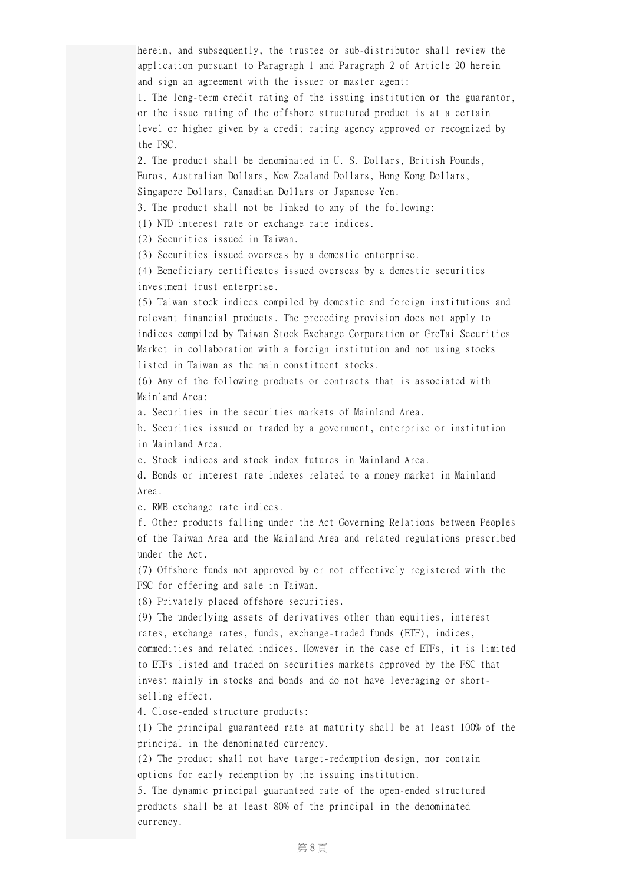herein, and subsequently, the trustee or sub-distributor shall review the application pursuant to Paragraph 1 and Paragraph 2 of Article 20 herein and sign an agreement with the issuer or master agent: 1. The long-term credit rating of the issuing institution or the guarantor, or the issue rating of the offshore structured product is at a certain level or higher given by a credit rating agency approved or recognized by the FSC. 2. The product shall be denominated in U. S. Dollars, British Pounds, Euros, Australian Dollars, New Zealand Dollars, Hong Kong Dollars, Singapore Dollars, Canadian Dollars or Japanese Yen. 3. The product shall not be linked to any of the following: (1) NTD interest rate or exchange rate indices. (2) Securities issued in Taiwan. (3) Securities issued overseas by a domestic enterprise. (4) Beneficiary certificates issued overseas by a domestic securities investment trust enterprise. (5) Taiwan stock indices compiled by domestic and foreign institutions and relevant financial products. The preceding provision does not apply to indices compiled by Taiwan Stock Exchange Corporation or GreTai Securities Market in collaboration with a foreign institution and not using stocks listed in Taiwan as the main constituent stocks. (6) Any of the following products or contracts that is associated with Mainland Area: a. Securities in the securities markets of Mainland Area. b. Securities issued or traded by a government, enterprise or institution in Mainland Area. c. Stock indices and stock index futures in Mainland Area. d. Bonds or interest rate indexes related to a money market in Mainland Area. e. RMB exchange rate indices. f. Other products falling under the Act Governing Relations between Peoples of the Taiwan Area and the Mainland Area and related regulations prescribed under the Act. (7) Offshore funds not approved by or not effectively registered with the FSC for offering and sale in Taiwan. (8) Privately placed offshore securities. (9) The underlying assets of derivatives other than equities, interest rates, exchange rates, funds, exchange-traded funds (ETF), indices, commodities and related indices. However in the case of ETFs, it is limited to ETFs listed and traded on securities markets approved by the FSC that invest mainly in stocks and bonds and do not have leveraging or shortselling effect. 4. Close-ended structure products: (1) The principal guaranteed rate at maturity shall be at least 100% of the principal in the denominated currency. (2) The product shall not have target-redemption design, nor contain

options for early redemption by the issuing institution.

5. The dynamic principal guaranteed rate of the open-ended structured products shall be at least 80% of the principal in the denominated currency.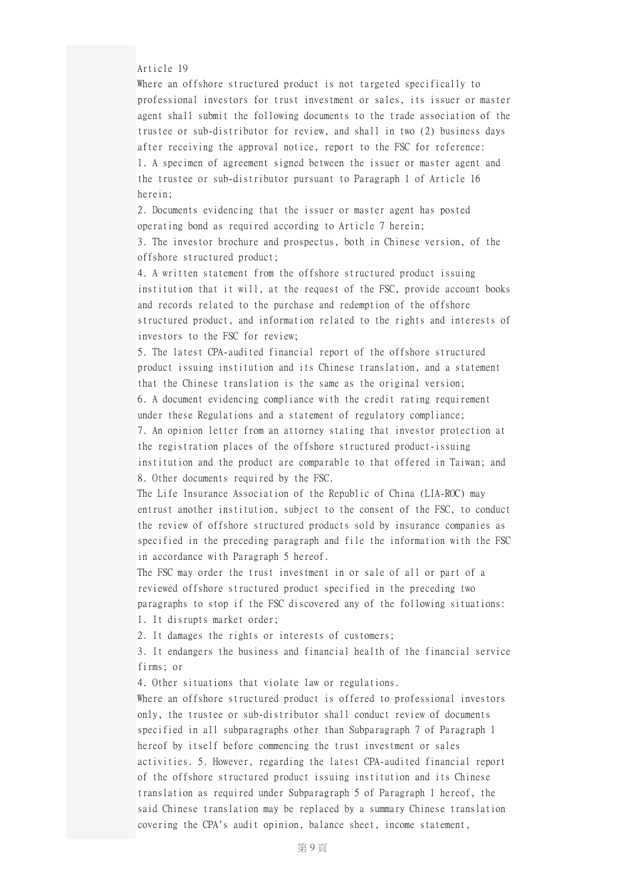Article 19

Where an offshore structured product is not targeted specifically to professional investors for trust investment or sales, its issuer or master agent shall submit the following documents to the trade association of the trustee or sub-distributor for review, and shall in two (2) business days after receiving the approval notice, report to the FSC for reference: 1. A specimen of agreement signed between the issuer or master agent and the trustee or sub-distributor pursuant to Paragraph 1 of Article 16 herein;

2. Documents evidencing that the issuer or master agent has posted operating bond as required according to Article 7 herein;

3. The investor brochure and prospectus, both in Chinese version, of the offshore structured product;

4. A written statement from the offshore structured product issuing institution that it will, at the request of the FSC, provide account books and records related to the purchase and redemption of the offshore structured product, and information related to the rights and interests of investors to the FSC for review;

5. The latest CPA-audited financial report of the offshore structured product issuing institution and its Chinese translation, and a statement that the Chinese translation is the same as the original version; 6. A document evidencing compliance with the credit rating requirement under these Regulations and a statement of regulatory compliance; 7. An opinion letter from an attorney stating that investor protection at the registration places of the offshore structured product-issuing institution and the product are comparable to that offered in Taiwan; and 8. Other documents required by the FSC.

The Life Insurance Association of the Republic of China (LIA-ROC) may entrust another institution, subject to the consent of the FSC, to conduct the review of offshore structured products sold by insurance companies as specified in the preceding paragraph and file the information with the FSC in accordance with Paragraph 5 hereof.

The FSC may order the trust investment in or sale of all or part of a reviewed offshore structured product specified in the preceding two paragraphs to stop if the FSC discovered any of the following situations:

1. It disrupts market order;

2. It damages the rights or interests of customers;

3. It endangers the business and financial health of the financial service firms; or

4. Other situations that violate law or regulations.

Where an offshore structured product is offered to professional investors only, the trustee or sub-distributor shall conduct review of documents specified in all subparagraphs other than Subparagraph 7 of Paragraph 1 hereof by itself before commencing the trust investment or sales activities. 5. However, regarding the latest CPA-audited financial report of the offshore structured product issuing institution and its Chinese translation as required under Subparagraph 5 of Paragraph 1 hereof, the said Chinese translation may be replaced by a summary Chinese translation covering the CPA's audit opinion, balance sheet, income statement,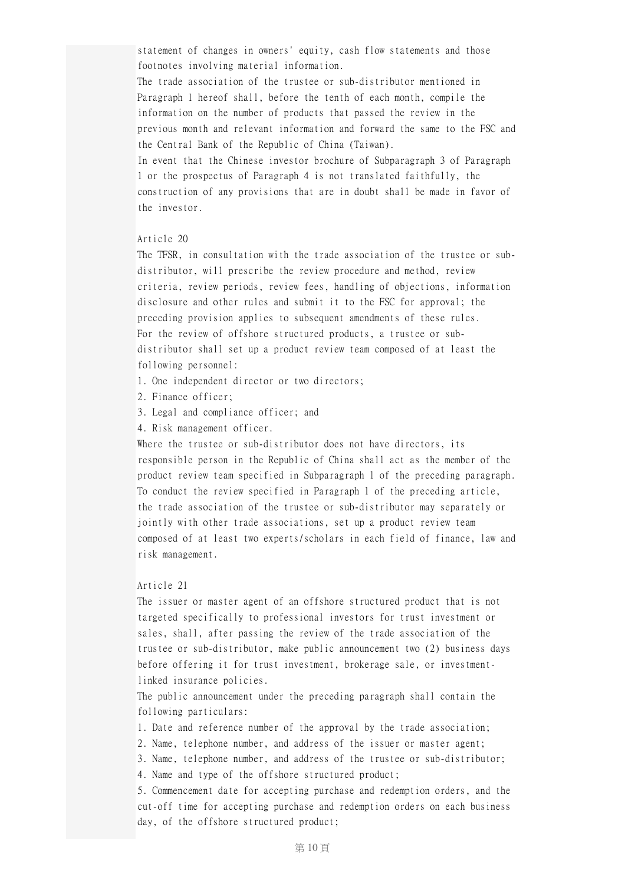statement of changes in owners' equity, cash flow statements and those footnotes involving material information.

The trade association of the trustee or sub-distributor mentioned in Paragraph 1 hereof shall, before the tenth of each month, compile the information on the number of products that passed the review in the previous month and relevant information and forward the same to the FSC and the Central Bank of the Republic of China (Taiwan).

In event that the Chinese investor brochure of Subparagraph 3 of Paragraph 1 or the prospectus of Paragraph 4 is not translated faithfully, the construction of any provisions that are in doubt shall be made in favor of the investor.

## Article 20

The TFSR, in consultation with the trade association of the trustee or subdistributor, will prescribe the review procedure and method, review criteria, review periods, review fees, handling of objections, information disclosure and other rules and submit it to the FSC for approval; the preceding provision applies to subsequent amendments of these rules. For the review of offshore structured products, a trustee or subdistributor shall set up a product review team composed of at least the following personnel:

- 1. One independent director or two directors;
- 2. Finance officer;
- 3. Legal and compliance officer; and
- 4. Risk management officer.

Where the trustee or sub-distributor does not have directors, its responsible person in the Republic of China shall act as the member of the product review team specified in Subparagraph 1 of the preceding paragraph. To conduct the review specified in Paragraph 1 of the preceding article, the trade association of the trustee or sub-distributor may separately or jointly with other trade associations, set up a product review team composed of at least two experts/scholars in each field of finance, law and risk management.

#### Article 21

The issuer or master agent of an offshore structured product that is not targeted specifically to professional investors for trust investment or sales, shall, after passing the review of the trade association of the trustee or sub-distributor, make public announcement two (2) business days before offering it for trust investment, brokerage sale, or investmentlinked insurance policies.

The public announcement under the preceding paragraph shall contain the following particulars:

- 1. Date and reference number of the approval by the trade association;
- 2. Name, telephone number, and address of the issuer or master agent;
- 3. Name, telephone number, and address of the trustee or sub-distributor;

4. Name and type of the offshore structured product;

5. Commencement date for accepting purchase and redemption orders, and the cut-off time for accepting purchase and redemption orders on each business day, of the offshore structured product;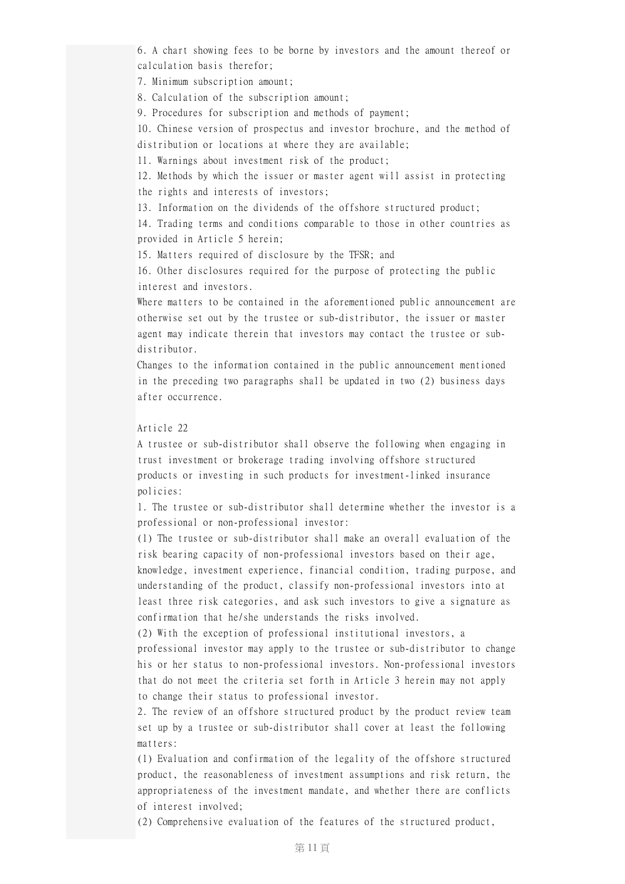6. A chart showing fees to be borne by investors and the amount thereof or calculation basis therefor;

7. Minimum subscription amount;

8. Calculation of the subscription amount;

9. Procedures for subscription and methods of payment;

10. Chinese version of prospectus and investor brochure, and the method of

distribution or locations at where they are available;

11. Warnings about investment risk of the product;

12. Methods by which the issuer or master agent will assist in protecting the rights and interests of investors;

13. Information on the dividends of the offshore structured product;

14. Trading terms and conditions comparable to those in other countries as provided in Article 5 herein;

15. Matters required of disclosure by the TFSR; and

16. Other disclosures required for the purpose of protecting the public interest and investors.

Where matters to be contained in the aforementioned public announcement are otherwise set out by the trustee or sub-distributor, the issuer or master agent may indicate therein that investors may contact the trustee or subdistributor.

Changes to the information contained in the public announcement mentioned in the preceding two paragraphs shall be updated in two (2) business days after occurrence.

## Article 22

A trustee or sub-distributor shall observe the following when engaging in trust investment or brokerage trading involving offshore structured products or investing in such products for investment-linked insurance policies:

1. The trustee or sub-distributor shall determine whether the investor is a professional or non-professional investor:

(1) The trustee or sub-distributor shall make an overall evaluation of the risk bearing capacity of non-professional investors based on their age, knowledge, investment experience, financial condition, trading purpose, and understanding of the product, classify non-professional investors into at least three risk categories, and ask such investors to give a signature as confirmation that he/she understands the risks involved.

(2) With the exception of professional institutional investors, a professional investor may apply to the trustee or sub-distributor to change his or her status to non-professional investors. Non-professional investors that do not meet the criteria set forth in Article 3 herein may not apply to change their status to professional investor.

2. The review of an offshore structured product by the product review team set up by a trustee or sub-distributor shall cover at least the following matters:

(1) Evaluation and confirmation of the legality of the offshore structured product, the reasonableness of investment assumptions and risk return, the appropriateness of the investment mandate, and whether there are conflicts of interest involved;

(2) Comprehensive evaluation of the features of the structured product,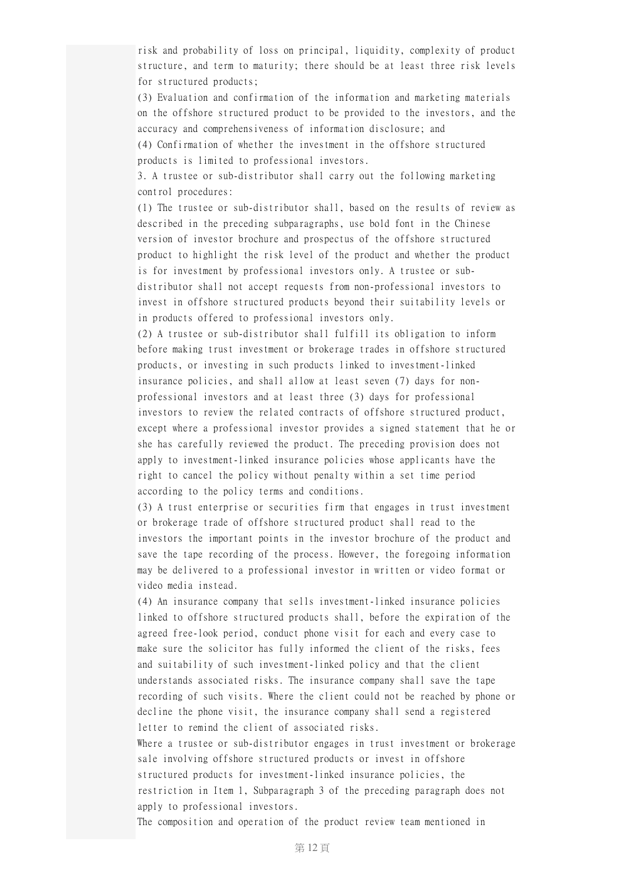risk and probability of loss on principal, liquidity, complexity of product structure, and term to maturity; there should be at least three risk levels for structured products;

(3) Evaluation and confirmation of the information and marketing materials on the offshore structured product to be provided to the investors, and the accuracy and comprehensiveness of information disclosure; and (4) Confirmation of whether the investment in the offshore structured

products is limited to professional investors.

3. A trustee or sub-distributor shall carry out the following marketing control procedures:

(1) The trustee or sub-distributor shall, based on the results of review as described in the preceding subparagraphs, use bold font in the Chinese version of investor brochure and prospectus of the offshore structured product to highlight the risk level of the product and whether the product is for investment by professional investors only. A trustee or subdistributor shall not accept requests from non-professional investors to invest in offshore structured products beyond their suitability levels or in products offered to professional investors only.

(2) A trustee or sub-distributor shall fulfill its obligation to inform before making trust investment or brokerage trades in offshore structured products, or investing in such products linked to investment-linked insurance policies, and shall allow at least seven (7) days for nonprofessional investors and at least three (3) days for professional investors to review the related contracts of offshore structured product, except where a professional investor provides a signed statement that he or she has carefully reviewed the product. The preceding provision does not apply to investment-linked insurance policies whose applicants have the right to cancel the policy without penalty within a set time period according to the policy terms and conditions.

(3) A trust enterprise or securities firm that engages in trust investment or brokerage trade of offshore structured product shall read to the investors the important points in the investor brochure of the product and save the tape recording of the process. However, the foregoing information may be delivered to a professional investor in written or video format or video media instead.

(4) An insurance company that sells investment-linked insurance policies linked to offshore structured products shall, before the expiration of the agreed free-look period, conduct phone visit for each and every case to make sure the solicitor has fully informed the client of the risks, fees and suitability of such investment-linked policy and that the client understands associated risks. The insurance company shall save the tape recording of such visits. Where the client could not be reached by phone or decline the phone visit, the insurance company shall send a registered letter to remind the client of associated risks.

Where a trustee or sub-distributor engages in trust investment or brokerage sale involving offshore structured products or invest in offshore structured products for investment-linked insurance policies, the restriction in Item 1, Subparagraph 3 of the preceding paragraph does not apply to professional investors.

The composition and operation of the product review team mentioned in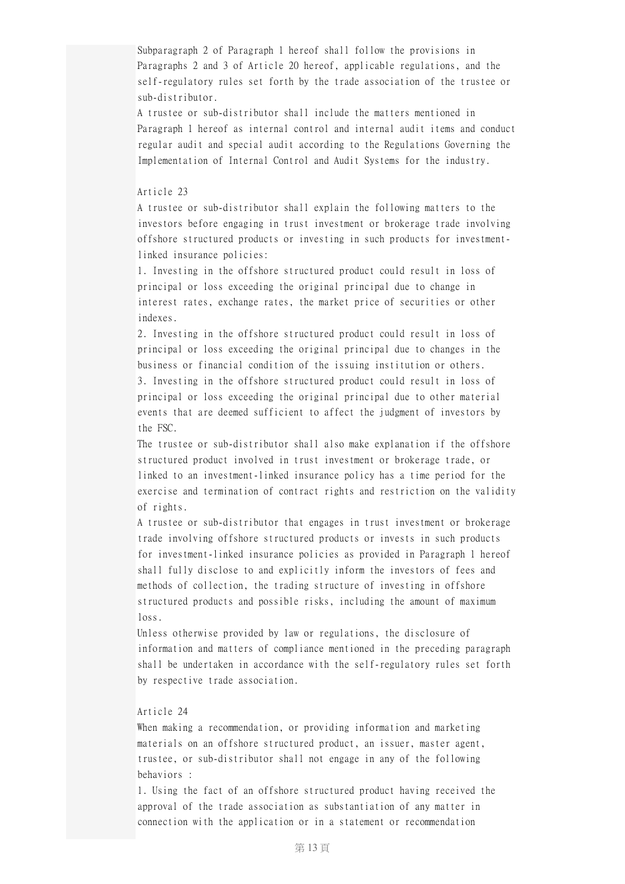Subparagraph 2 of Paragraph 1 hereof shall follow the provisions in Paragraphs 2 and 3 of Article 20 hereof, applicable regulations, and the self-regulatory rules set forth by the trade association of the trustee or sub-distributor.

A trustee or sub-distributor shall include the matters mentioned in Paragraph 1 hereof as internal control and internal audit items and conduct regular audit and special audit according to the Regulations Governing the Implementation of Internal Control and Audit Systems for the industry.

#### Article 23

A trustee or sub-distributor shall explain the following matters to the investors before engaging in trust investment or brokerage trade involving offshore structured products or investing in such products for investmentlinked insurance policies:

1. Investing in the offshore structured product could result in loss of principal or loss exceeding the original principal due to change in interest rates, exchange rates, the market price of securities or other indexes.

2. Investing in the offshore structured product could result in loss of principal or loss exceeding the original principal due to changes in the business or financial condition of the issuing institution or others. 3. Investing in the offshore structured product could result in loss of principal or loss exceeding the original principal due to other material events that are deemed sufficient to affect the judgment of investors by the FSC.

The trustee or sub-distributor shall also make explanation if the offshore structured product involved in trust investment or brokerage trade, or linked to an investment-linked insurance policy has a time period for the exercise and termination of contract rights and restriction on the validity of rights.

A trustee or sub-distributor that engages in trust investment or brokerage trade involving offshore structured products or invests in such products for investment-linked insurance policies as provided in Paragraph 1 hereof shall fully disclose to and explicitly inform the investors of fees and methods of collection, the trading structure of investing in offshore structured products and possible risks, including the amount of maximum loss.

Unless otherwise provided by law or regulations, the disclosure of information and matters of compliance mentioned in the preceding paragraph shall be undertaken in accordance with the self-regulatory rules set forth by respective trade association.

# Article 24

When making a recommendation, or providing information and marketing materials on an offshore structured product, an issuer, master agent, trustee, or sub-distributor shall not engage in any of the following behaviors :

1. Using the fact of an offshore structured product having received the approval of the trade association as substantiation of any matter in connection with the application or in a statement or recommendation